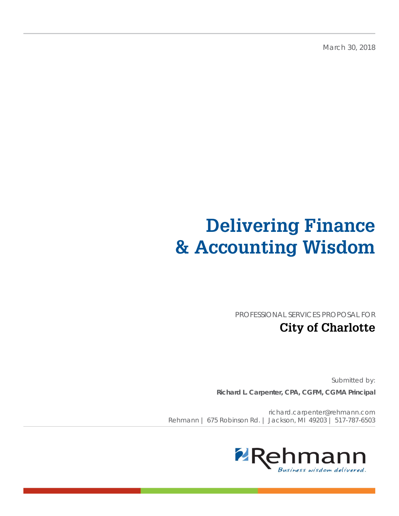March 30, 2018

# **Delivering Finance & Accounting Wisdom**

PROFESSIONAL SERVICES PROPOSAL FOR

## **City of Charlotte**

Submitted by:

**Richard L. Carpenter, CPA, CGFM, CGMA Principal** 

richard.carpenter@rehmann.com Rehmann | 675 Robinson Rd. | Jackson, MI 49203 | 517-787-6503

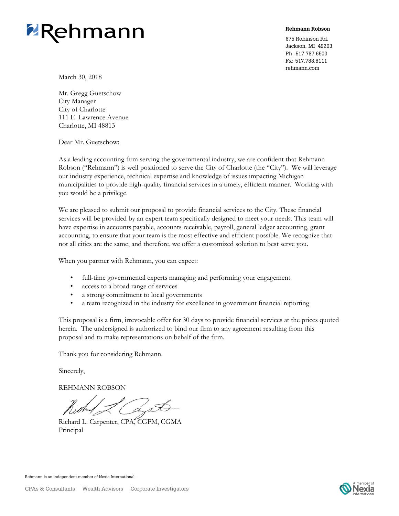

**Rehmann Robson**

675 Robinson Rd. Jackson, MI 49203 Ph: 517.787.6503 Fx: 517.788.8111 rehmann.com

March 30, 2018

Mr. Gregg Guetschow City Manager City of Charlotte 111 E. Lawrence Avenue Charlotte, MI 48813

Dear Mr. Guetschow:

As a leading accounting firm serving the governmental industry, we are confident that Rehmann Robson ("Rehmann") is well positioned to serve the City of Charlotte (the "City"). We will leverage our industry experience, technical expertise and knowledge of issues impacting Michigan municipalities to provide high-quality financial services in a timely, efficient manner. Working with you would be a privilege.

We are pleased to submit our proposal to provide financial services to the City. These financial services will be provided by an expert team specifically designed to meet your needs. This team will have expertise in accounts payable, accounts receivable, payroll, general ledger accounting, grant accounting, to ensure that your team is the most effective and efficient possible. We recognize that not all cities are the same, and therefore, we offer a customized solution to best serve you.

When you partner with Rehmann, you can expect:

- full-time governmental experts managing and performing your engagement
- access to a broad range of services
- a strong commitment to local governments
- a team recognized in the industry for excellence in government financial reporting

This proposal is a firm, irrevocable offer for 30 days to provide financial services at the prices quoted herein. The undersigned is authorized to bind our firm to any agreement resulting from this proposal and to make representations on behalf of the firm.

Thank you for considering Rehmann.

Sincerely,

REHMANN ROBSON

Richard L. Carpenter, CPA, CGFM, CGMA Principal

Rehmann is an independent member of Nexia International.

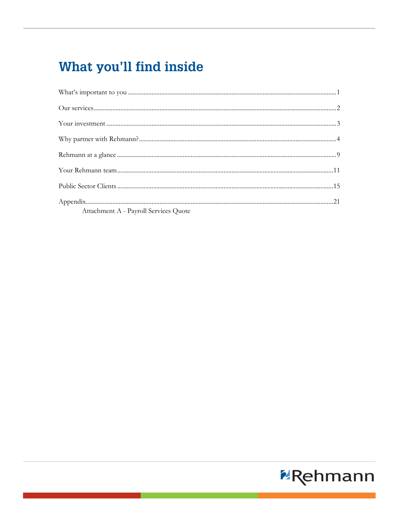## What you'll find inside

| Attachment A - Payroll Services Quote |  |
|---------------------------------------|--|

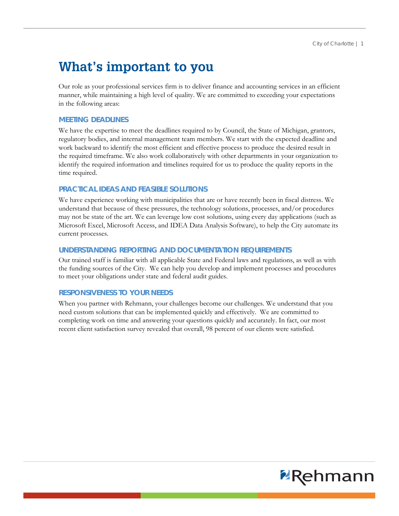## **What's important to you**

Our role as your professional services firm is to deliver finance and accounting services in an efficient manner, while maintaining a high level of quality. We are committed to exceeding your expectations in the following areas:

#### **MEETING DEADLINES**

We have the expertise to meet the deadlines required to by Council, the State of Michigan, grantors, regulatory bodies, and internal management team members. We start with the expected deadline and work backward to identify the most efficient and effective process to produce the desired result in the required timeframe. We also work collaboratively with other departments in your organization to identify the required information and timelines required for us to produce the quality reports in the time required.

#### **PRACTICAL IDEAS AND FEASIBLE SOLUTIONS**

We have experience working with municipalities that are or have recently been in fiscal distress. We understand that because of these pressures, the technology solutions, processes, and/or procedures may not be state of the art. We can leverage low cost solutions, using every day applications (such as Microsoft Excel, Microsoft Access, and IDEA Data Analysis Software), to help the City automate its current processes.

#### **UNDERSTANDING REPORTING AND DOCUMENTATION REQUIREMENTS**

Our trained staff is familiar with all applicable State and Federal laws and regulations, as well as with the funding sources of the City. We can help you develop and implement processes and procedures to meet your obligations under state and federal audit guides.

#### **RESPONSIVENESS TO YOUR NEEDS**

When you partner with Rehmann, your challenges become our challenges. We understand that you need custom solutions that can be implemented quickly and effectively. We are committed to completing work on time and answering your questions quickly and accurately. In fact, our most recent client satisfaction survey revealed that overall, 98 percent of our clients were satisfied.

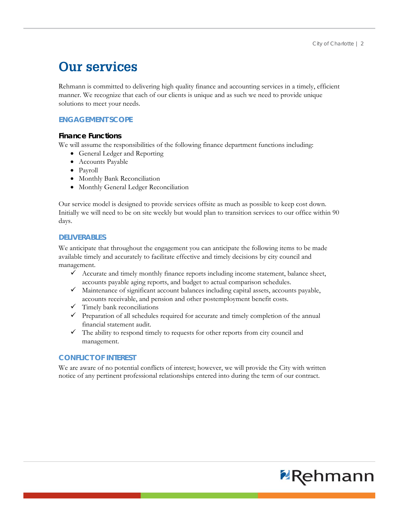## **Our services**

Rehmann is committed to delivering high quality finance and accounting services in a timely, efficient manner. We recognize that each of our clients is unique and as such we need to provide unique solutions to meet your needs.

#### **ENGAGEMENT SCOPE**

#### **Finance Functions**

We will assume the responsibilities of the following finance department functions including:

- General Ledger and Reporting
- Accounts Payable
- Payroll
- Monthly Bank Reconciliation
- Monthly General Ledger Reconciliation

Our service model is designed to provide services offsite as much as possible to keep cost down. Initially we will need to be on site weekly but would plan to transition services to our office within 90 days.

#### **DELIVERABLES**

We anticipate that throughout the engagement you can anticipate the following items to be made available timely and accurately to facilitate effective and timely decisions by city council and management.

- $\checkmark$  Accurate and timely monthly finance reports including income statement, balance sheet, accounts payable aging reports, and budget to actual comparison schedules.
- $\checkmark$  Maintenance of significant account balances including capital assets, accounts payable, accounts receivable, and pension and other postemployment benefit costs.
- $\checkmark$  Timely bank reconciliations
- $\checkmark$  Preparation of all schedules required for accurate and timely completion of the annual financial statement audit.
- $\checkmark$  The ability to respond timely to requests for other reports from city council and management.

#### **CONFLICT OF INTEREST**

We are aware of no potential conflicts of interest; however, we will provide the City with written notice of any pertinent professional relationships entered into during the term of our contract.

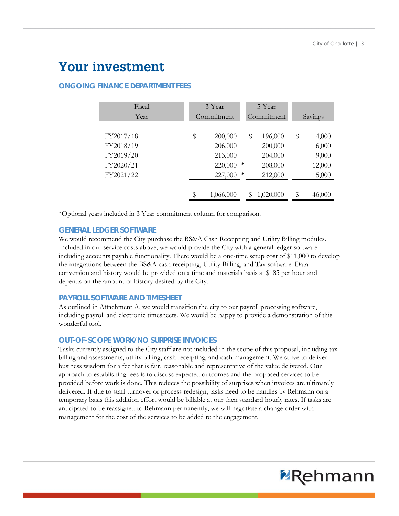## **Your investment**

#### **ONGOING FINANCE DEPARTMENT FEES**

| Fiscal    |    | 3 Year     |        | 5 Year    |              |  |  |            |         |
|-----------|----|------------|--------|-----------|--------------|--|--|------------|---------|
| Year      |    | Commitment |        |           |              |  |  | Commitment | Savings |
|           |    |            |        |           |              |  |  |            |         |
| FY2017/18 | \$ | 200,000    | \$     | 196,000   | \$<br>4,000  |  |  |            |         |
| FY2018/19 |    | 206,000    |        | 200,000   | 6,000        |  |  |            |         |
| FY2019/20 |    | 213,000    |        | 204,000   | 9,000        |  |  |            |         |
| FY2020/21 |    | 220,000    | $\ast$ | 208,000   | 12,000       |  |  |            |         |
| FY2021/22 |    | 227,000    | *      | 212,000   | 15,000       |  |  |            |         |
|           |    |            |        |           |              |  |  |            |         |
|           | \$ | 1,066,000  | S      | 1,020,000 | \$<br>46,000 |  |  |            |         |

\*Optional years included in 3 Year commitment column for comparison.

#### **GENERAL LEDGER SOFTWARE**

We would recommend the City purchase the BS&A Cash Receipting and Utility Billing modules. Included in our service costs above, we would provide the City with a general ledger software including accounts payable functionality. There would be a one-time setup cost of \$11,000 to develop the integrations between the BS&A cash receipting, Utility Billing, and Tax software. Data conversion and history would be provided on a time and materials basis at \$185 per hour and depends on the amount of history desired by the City.

#### **PAYROLL SOFTWARE AND TIMESHEET**

As outlined in Attachment A, we would transition the city to our payroll processing software, including payroll and electronic timesheets. We would be happy to provide a demonstration of this wonderful tool.

#### **OUT-OF-SCOPE WORK/NO SURPRISE INVOICES**

Tasks currently assigned to the City staff are not included in the scope of this proposal, including tax billing and assessments, utility billing, cash receipting, and cash management. We strive to deliver business wisdom for a fee that is fair, reasonable and representative of the value delivered. Our approach to establishing fees is to discuss expected outcomes and the proposed services to be provided before work is done. This reduces the possibility of surprises when invoices are ultimately delivered. If due to staff turnover or process redesign, tasks need to be handles by Rehmann on a temporary basis this addition effort would be billable at our then standard hourly rates. If tasks are anticipated to be reassigned to Rehmann permanently, we will negotiate a change order with management for the cost of the services to be added to the engagement.

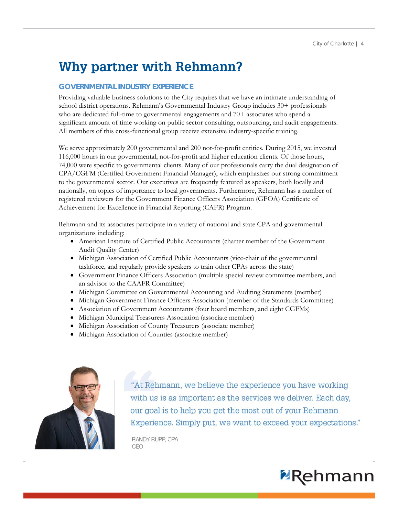## **Why partner with Rehmann?**

#### **GOVERNMENTAL INDUSTRY EXPERIENCE**

Providing valuable business solutions to the City requires that we have an intimate understanding of school district operations. Rehmann's Governmental Industry Group includes 30+ professionals who are dedicated full-time to governmental engagements and 70+ associates who spend a significant amount of time working on public sector consulting, outsourcing, and audit engagements. All members of this cross-functional group receive extensive industry-specific training.

We serve approximately 200 governmental and 200 not-for-profit entities. During 2015, we invested 116,000 hours in our governmental, not-for-profit and higher education clients. Of those hours, 74,000 were specific to governmental clients. Many of our professionals carry the dual designation of CPA/CGFM (Certified Government Financial Manager), which emphasizes our strong commitment to the governmental sector. Our executives are frequently featured as speakers, both locally and nationally, on topics of importance to local governments. Furthermore, Rehmann has a number of registered reviewers for the Government Finance Officers Association (GFOA) Certificate of Achievement for Excellence in Financial Reporting (CAFR) Program.

Rehmann and its associates participate in a variety of national and state CPA and governmental organizations including:

- American Institute of Certified Public Accountants (charter member of the Government Audit Quality Center)
- Michigan Association of Certified Public Accountants (vice-chair of the governmental taskforce, and regularly provide speakers to train other CPAs across the state)
- Government Finance Officers Association (multiple special review committee members, and an advisor to the CAAFR Committee)
- Michigan Committee on Governmental Accounting and Auditing Statements (member)
- Michigan Government Finance Officers Association (member of the Standards Committee)
- Association of Government Accountants (four board members, and eight CGFMs)
- Michigan Municipal Treasurers Association (associate member)
- Michigan Association of County Treasurers (associate member)
- Michigan Association of Counties (associate member)



"At Rehmann, we believe the experience you have working with us is as important as the services we deliver. Each day, our goal is to help you get the most out of your Rehmann Experience. Simply put, we want to exceed your expectations."

RANDY RUPP, CPA CFO

## **PRehmann**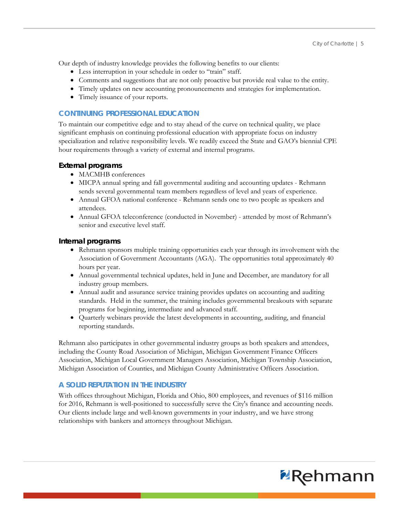Our depth of industry knowledge provides the following benefits to our clients:

- Less interruption in your schedule in order to "train" staff.
- Comments and suggestions that are not only proactive but provide real value to the entity.
- Timely updates on new accounting pronouncements and strategies for implementation.
- Timely issuance of your reports.

#### **CONTINUING PROFESSIONAL EDUCATION**

To maintain our competitive edge and to stay ahead of the curve on technical quality, we place significant emphasis on continuing professional education with appropriate focus on industry specialization and relative responsibility levels. We readily exceed the State and GAO's biennial CPE hour requirements through a variety of external and internal programs.

#### **External programs**

- MACMHB conferences
- MICPA annual spring and fall governmental auditing and accounting updates Rehmann sends several governmental team members regardless of level and years of experience.
- Annual GFOA national conference Rehmann sends one to two people as speakers and attendees.
- Annual GFOA teleconference (conducted in November) attended by most of Rehmann's senior and executive level staff.

#### **Internal programs**

- Rehmann sponsors multiple training opportunities each year through its involvement with the Association of Government Accountants (AGA). The opportunities total approximately 40 hours per year.
- Annual governmental technical updates, held in June and December, are mandatory for all industry group members.
- Annual audit and assurance service training provides updates on accounting and auditing standards. Held in the summer, the training includes governmental breakouts with separate programs for beginning, intermediate and advanced staff.
- Quarterly webinars provide the latest developments in accounting, auditing, and financial reporting standards.

Rehmann also participates in other governmental industry groups as both speakers and attendees, including the County Road Association of Michigan, Michigan Government Finance Officers Association, Michigan Local Government Managers Association, Michigan Township Association, Michigan Association of Counties, and Michigan County Administrative Officers Association.

#### **A SOLID REPUTATION IN THE INDUSTRY**

With offices throughout Michigan, Florida and Ohio, 800 employees, and revenues of \$116 million for 2016, Rehmann is well-positioned to successfully serve the City's finance and accounting needs. Our clients include large and well-known governments in your industry, and we have strong relationships with bankers and attorneys throughout Michigan.

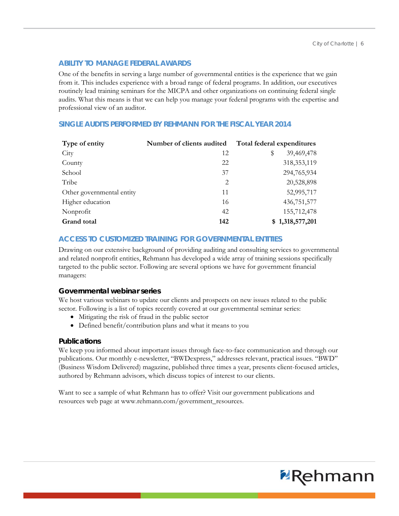#### **ABILITY TO MANAGE FEDERAL AWARDS**

One of the benefits in serving a large number of governmental entities is the experience that we gain from it. This includes experience with a broad range of federal programs. In addition, our executives routinely lead training seminars for the MICPA and other organizations on continuing federal single audits. What this means is that we can help you manage your federal programs with the expertise and professional view of an auditor.

#### **SINGLE AUDITS PERFORMED BY REHMANN FOR THE FISCAL YEAR 2014**

| Type of entity            | Number of clients audited | Total federal expenditures |
|---------------------------|---------------------------|----------------------------|
| City                      | 12                        | 39,469,478<br>\$           |
| County                    | 22                        | 318, 353, 119              |
| School                    | 37                        | 294,765,934                |
| Tribe                     | $\overline{2}$            | 20,528,898                 |
| Other governmental entity | 11                        | 52,995,717                 |
| Higher education          | 16                        | 436,751,577                |
| Nonprofit                 | 42                        | 155,712,478                |
| <b>Grand</b> total        | 142                       | \$1,318,577,201            |

#### **ACCESS TO CUSTOMIZED TRAINING FOR GOVERNMENTAL ENTITIES**

Drawing on our extensive background of providing auditing and consulting services to governmental and related nonprofit entities, Rehmann has developed a wide array of training sessions specifically targeted to the public sector. Following are several options we have for government financial managers:

#### **Governmental webinar series**

We host various webinars to update our clients and prospects on new issues related to the public sector. Following is a list of topics recently covered at our governmental seminar series:

- Mitigating the risk of fraud in the public sector
- Defined benefit/contribution plans and what it means to you

#### **Publications**

We keep you informed about important issues through face-to-face communication and through our publications. Our monthly e-newsletter, "BWDexpress," addresses relevant, practical issues. "BWD" (Business Wisdom Delivered) magazine, published three times a year, presents client-focused articles, authored by Rehmann advisors, which discuss topics of interest to our clients.

Want to see a sample of what Rehmann has to offer? Visit our government publications and resources web page at www.rehmann.com/government\_resources.

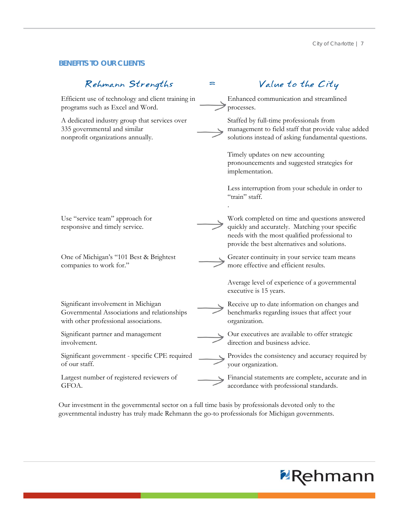**Z**Rehmann

#### **BENEFITS TO OUR CLIENTS**

| Rehmann Strengths                                                                                                           | ⋍ | Value to the City                                                                                                                                                                                |
|-----------------------------------------------------------------------------------------------------------------------------|---|--------------------------------------------------------------------------------------------------------------------------------------------------------------------------------------------------|
| Efficient use of technology and client training in<br>programs such as Excel and Word.                                      |   | Enhanced communication and streamlined<br>processes.                                                                                                                                             |
| A dedicated industry group that services over<br>335 governmental and similar<br>nonprofit organizations annually.          |   | Staffed by full-time professionals from<br>management to field staff that provide value added<br>solutions instead of asking fundamental questions.                                              |
|                                                                                                                             |   | Timely updates on new accounting<br>pronouncements and suggested strategies for<br>implementation.                                                                                               |
|                                                                                                                             |   | Less interruption from your schedule in order to<br>"train" staff.                                                                                                                               |
| Use "service team" approach for<br>responsive and timely service.                                                           |   | Work completed on time and questions answered<br>quickly and accurately. Matching your specific<br>needs with the most qualified professional to<br>provide the best alternatives and solutions. |
| One of Michigan's "101 Best & Brightest<br>companies to work for."                                                          |   | Greater continuity in your service team means<br>more effective and efficient results.                                                                                                           |
|                                                                                                                             |   | Average level of experience of a governmental<br>executive is 15 years.                                                                                                                          |
| Significant involvement in Michigan<br>Governmental Associations and relationships<br>with other professional associations. |   | Receive up to date information on changes and<br>benchmarks regarding issues that affect your<br>organization.                                                                                   |
| Significant partner and management<br>involvement.                                                                          |   | Our executives are available to offer strategic<br>direction and business advice.                                                                                                                |
| Significant government - specific CPE required<br>of our staff.                                                             |   | Provides the consistency and accuracy required by<br>your organization.                                                                                                                          |
| Largest number of registered reviewers of<br>GFOA.                                                                          |   | Financial statements are complete, accurate and in<br>accordance with professional standards.                                                                                                    |

Our investment in the governmental sector on a full time basis by professionals devoted only to the governmental industry has truly made Rehmann the go-to professionals for Michigan governments.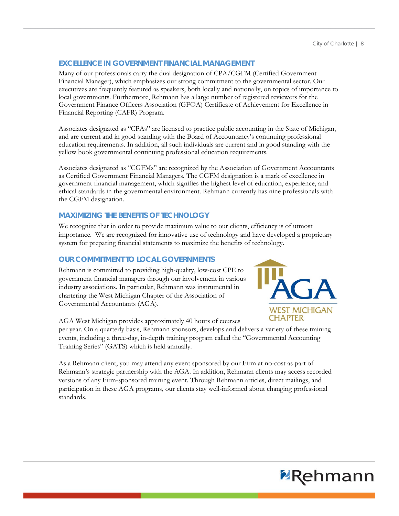#### **EXCELLENCE IN GOVERNMENT FINANCIAL MANAGEMENT**

Many of our professionals carry the dual designation of CPA/CGFM (Certified Government Financial Manager), which emphasizes our strong commitment to the governmental sector. Our executives are frequently featured as speakers, both locally and nationally, on topics of importance to local governments. Furthermore, Rehmann has a large number of registered reviewers for the Government Finance Officers Association (GFOA) Certificate of Achievement for Excellence in Financial Reporting (CAFR) Program.

Associates designated as "CPAs" are licensed to practice public accounting in the State of Michigan, and are current and in good standing with the Board of Accountancy's continuing professional education requirements. In addition, all such individuals are current and in good standing with the yellow book governmental continuing professional education requirements.

Associates designated as "CGFMs" are recognized by the Association of Government Accountants as Certified Government Financial Managers. The CGFM designation is a mark of excellence in government financial management, which signifies the highest level of education, experience, and ethical standards in the governmental environment. Rehmann currently has nine professionals with the CGFM designation.

#### **MAXIMIZING THE BENEFITS OF TECHNOLOGY**

We recognize that in order to provide maximum value to our clients, efficiency is of utmost importance. We are recognized for innovative use of technology and have developed a proprietary system for preparing financial statements to maximize the benefits of technology.

#### **OUR COMMITMENT TO LOCAL GOVERNMENTS**

Rehmann is committed to providing high-quality, low-cost CPE to government financial managers through our involvement in various industry associations. In particular, Rehmann was instrumental in chartering the West Michigan Chapter of the Association of Governmental Accountants (AGA).

AGA West Michigan provides approximately 40 hours of courses

per year. On a quarterly basis, Rehmann sponsors, develops and delivers a variety of these training events, including a three-day, in-depth training program called the "Governmental Accounting Training Series" (GATS) which is held annually.

As a Rehmann client, you may attend any event sponsored by our Firm at no-cost as part of Rehmann's strategic partnership with the AGA. In addition, Rehmann clients may access recorded versions of any Firm-sponsored training event. Through Rehmann articles, direct mailings, and participation in these AGA programs, our clients stay well-informed about changing professional standards.



# **PRehmann**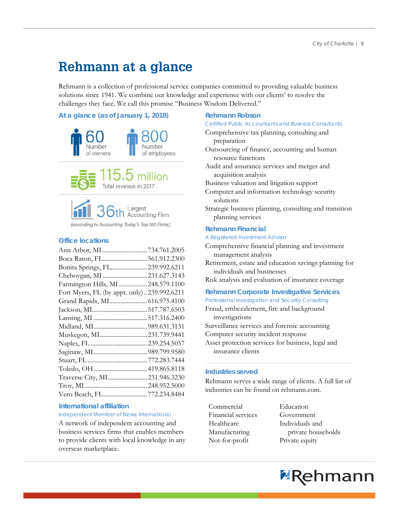### **Rehmann at a glance**

Rehmann is a collection of professional service companies committed to providing valuable business solutions since 1941. We combine our knowledge and experience with our clients' to resolve the challenges they face. We call this promise "Business Wisdom Delivered."

**At a glance (as of January 1, 2018)** 







#### **Office locations**

| Ann Arbor, MI734.761.2005                  |  |
|--------------------------------------------|--|
| Boca Raton, FL 561.912.2300                |  |
| Bonita Springs, FL 239.992.6211            |  |
| Cheboygan, MI 231.627.3143                 |  |
| Farmington Hills, MI  248.579.1100         |  |
| Fort Myers, FL (by appt. only)239.992.6211 |  |
| Grand Rapids, MI 616.975.4100              |  |
|                                            |  |
|                                            |  |
|                                            |  |
| Muskegon, MI231.739.9441                   |  |
|                                            |  |
|                                            |  |
|                                            |  |
|                                            |  |
| Traverse City, MI 231.946.3230             |  |
|                                            |  |
| Vero Beach, FL772.234.8484                 |  |

#### **International affiliation**

#### *Independent Member of Nexia International*

A network of independent accounting and business services firms that enables members to provide clients with local knowledge in any overseas marketplace.

#### **Rehmann Robson**

#### *Certified Public Accountants and Business Consultants*

- Comprehensive tax planning, consulting and preparation
- Outsourcing of finance, accounting and human resource functions
- Audit and assurance services and merger and acquisition analysis
- Business valuation and litigation support
- Computer and information technology security solutions
- Strategic business planning, consulting and transition planning services

#### **Rehmann Financial**

#### *A Registered Investment Advisor*

- Comprehensive financial planning and investment management analysis
- Retirement, estate and education savings planning for individuals and businesses
- Risk analysis and evaluation of insurance coverage

#### **Rehmann Corporate Investigative Services**

- *Professional Investigation and Security Consulting*
- Fraud, embezzlement, fire and background investigations
- Surveillance services and forensic accounting
- Computer security incident response
- Asset protection services for business, legal and insurance clients

#### **Industries served**

Rehmann serves a wide range of clients. A full list of industries can be found on rehmann.com.

- Commercial Education Financial services Government Healthcare Individuals and Not-for-profit Private equity
- Manufacturing private households

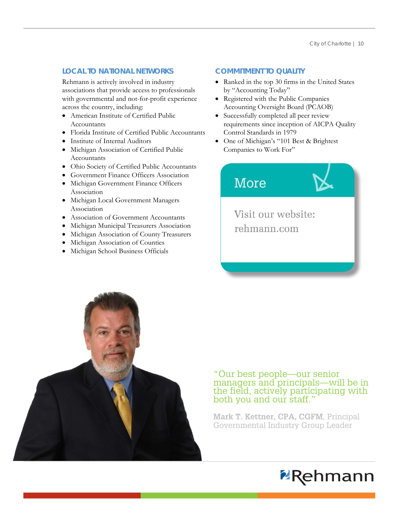#### **LOCAL TO NATIONAL NETWORKS**

Rehmann is actively involved in industry associations that provide access to professionals with governmental and not-for-profit experience across the country, including:

- American Institute of Certified Public **Accountants**
- Florida Institute of Certified Public Accountants
- Institute of Internal Auditors
- Michigan Association of Certified Public Accountants
- Ohio Society of Certified Public Accountants
- Government Finance Officers Association
- Michigan Government Finance Officers Association
- Michigan Local Government Managers Association
- Association of Government Accountants
- Michigan Municipal Treasurers Association
- Michigan Association of County Treasurers
- Michigan Association of Counties
- Michigan School Business Officials

#### **COMMITMENT TO QUALITY**

- Ranked in the top 30 firms in the United States by "Accounting Today"
- Registered with the Public Companies Accounting Oversight Board (PCAOB)
- Successfully completed all peer review requirements since inception of AICPA Quality Control Standards in 1979
- One of Michigan's "101 Best & Brightest" Companies to Work For"

Visit our website:

rehmann.com

More



#### "Our best people—our senior managers and principals—will be in the field, actively participating with both you and our staff."

**Mark T. Kettner, CPA, CGFM**, Principal Governmental Industry Group Leader

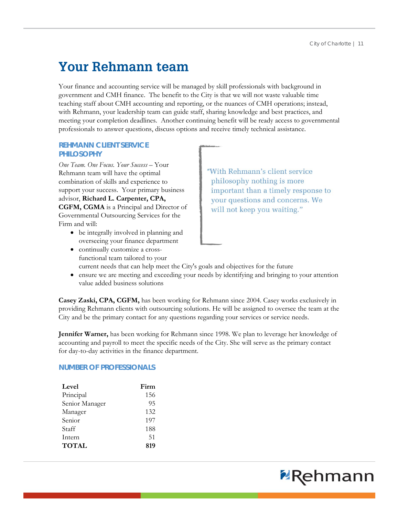## **Your Rehmann team**

Your finance and accounting service will be managed by skill professionals with background in government and CMH finance. The benefit to the City is that we will not waste valuable time teaching staff about CMH accounting and reporting, or the nuances of CMH operations; instead, with Rehmann, your leadership team can guide staff, sharing knowledge and best practices, and meeting your completion deadlines. Another continuing benefit will be ready access to governmental professionals to answer questions, discuss options and receive timely technical assistance.

#### **REHMANN CLIENT SERVICE PHILOSOPHY**

*One Team. One Focus. Your Success* – Your Rehmann team will have the optimal combination of skills and experience to support your success. Your primary business advisor, **Richard L. Carpenter, CPA, CGFM, CGMA** is a Principal and Director of Governmental Outsourcing Services for the Firm and will:

- be integrally involved in planning and overseeing your finance department
- philosophy nothing is more important than a timely response to your questions and concerns. We will not keep you waiting."

"With Rehmann's client service

- continually customize a crossfunctional team tailored to your current needs that can help meet the City's goals and objectives for the future
- ensure we are meeting and exceeding your needs by identifying and bringing to your attention value added business solutions

**Casey Zaski, CPA, CGFM,** has been working for Rehmann since 2004. Casey works exclusively in providing Rehmann clients with outsourcing solutions. He will be assigned to oversee the team at the City and be the primary contact for any questions regarding your services or service needs.

**Jennifer Warner,** has been working for Rehmann since 1998. We plan to leverage her knowledge of accounting and payroll to meet the specific needs of the City. She will serve as the primary contact for day-to-day activities in the finance department.

#### **NUMBER OF PROFESSIONALS**

| Level          | Firm |
|----------------|------|
| Principal      | 156  |
| Senior Manager | 95   |
| Manager        | 132  |
| Senior         | 197  |
| Staff          | 188  |
| Intern         | 51   |
| <b>TOTAL</b>   | 819  |

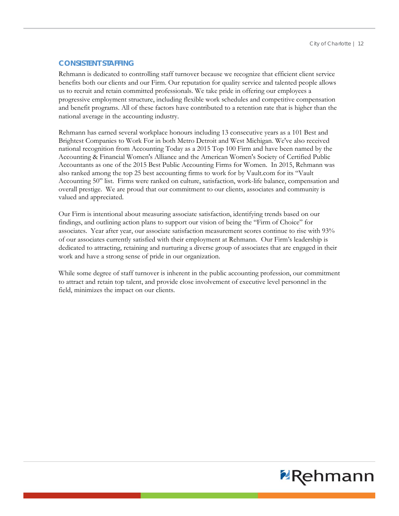#### **CONSISTENT STAFFING**

Rehmann is dedicated to controlling staff turnover because we recognize that efficient client service benefits both our clients and our Firm. Our reputation for quality service and talented people allows us to recruit and retain committed professionals. We take pride in offering our employees a progressive employment structure, including flexible work schedules and competitive compensation and benefit programs. All of these factors have contributed to a retention rate that is higher than the national average in the accounting industry.

Rehmann has earned several workplace honours including 13 consecutive years as a 101 Best and Brightest Companies to Work For in both Metro Detroit and West Michigan. We've also received national recognition from Accounting Today as a 2015 Top 100 Firm and have been named by the Accounting & Financial Women's Alliance and the American Women's Society of Certified Public Accountants as one of the 2015 Best Public Accounting Firms for Women. In 2015, Rehmann was also ranked among the top 25 best accounting firms to work for by Vault.com for its "Vault Accounting 50" list. Firms were ranked on culture, satisfaction, work-life balance, compensation and overall prestige. We are proud that our commitment to our clients, associates and community is valued and appreciated.

Our Firm is intentional about measuring associate satisfaction, identifying trends based on our findings, and outlining action plans to support our vision of being the "Firm of Choice" for associates. Year after year, our associate satisfaction measurement scores continue to rise with 93% of our associates currently satisfied with their employment at Rehmann. Our Firm's leadership is dedicated to attracting, retaining and nurturing a diverse group of associates that are engaged in their work and have a strong sense of pride in our organization.

While some degree of staff turnover is inherent in the public accounting profession, our commitment to attract and retain top talent, and provide close involvement of executive level personnel in the field, minimizes the impact on our clients.

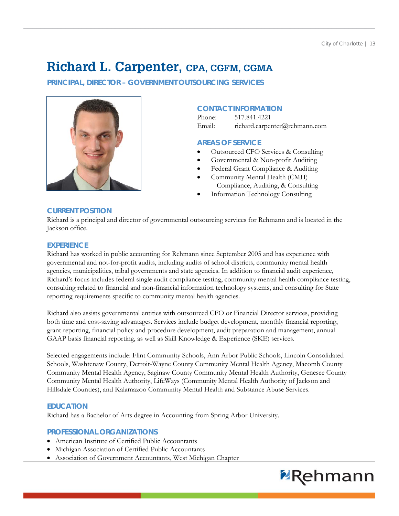## **Richard L. Carpenter, CPA, CGFM, CGMA**

**PRINCIPAL, DIRECTOR – GOVERNMENT OUTSOURCING SERVICES** 



#### **CONTACT INFORMATION**

Phone: 517.841.4221 Email: richard.carpenter@rehmann.com

#### **AREAS OF SERVICE**

- Outsourced CFO Services & Consulting
- Governmental & Non-profit Auditing
- Federal Grant Compliance & Auditing
- Community Mental Health (CMH) Compliance, Auditing, & Consulting
- Information Technology Consulting

#### **CURRENT POSITION**

Richard is a principal and director of governmental outsourcing services for Rehmann and is located in the Jackson office.

#### **EXPERIENCE**

Richard has worked in public accounting for Rehmann since September 2005 and has experience with governmental and not-for-profit audits, including audits of school districts, community mental health agencies, municipalities, tribal governments and state agencies. In addition to financial audit experience, Richard's focus includes federal single audit compliance testing, community mental health compliance testing, consulting related to financial and non-financial information technology systems, and consulting for State reporting requirements specific to community mental health agencies.

Richard also assists governmental entities with outsourced CFO or Financial Director services, providing both time and cost-saving advantages. Services include budget development, monthly financial reporting, grant reporting, financial policy and procedure development, audit preparation and management, annual GAAP basis financial reporting, as well as Skill Knowledge & Experience (SKE) services.

Selected engagements include: Flint Community Schools, Ann Arbor Public Schools, Lincoln Consolidated Schools, Washtenaw County, Detroit-Wayne County Community Mental Health Agency, Macomb County Community Mental Health Agency, Saginaw County Community Mental Health Authority, Genesee County Community Mental Health Authority, LifeWays (Community Mental Health Authority of Jackson and Hillsdale Counties), and Kalamazoo Community Mental Health and Substance Abuse Services.

#### **EDUCATION**

Richard has a Bachelor of Arts degree in Accounting from Spring Arbor University.

#### **PROFESSIONAL ORGANIZATIONS**

- American Institute of Certified Public Accountants
- Michigan Association of Certified Public Accountants
- Association of Government Accountants, West Michigan Chapter

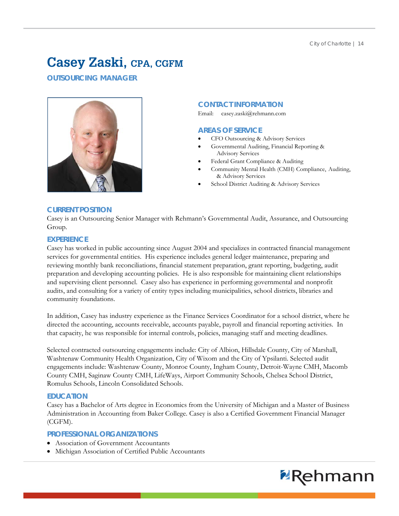## **Casey Zaski, CPA, CGFM**

**OUTSOURCING MANAGER** 



#### **CONTACT INFORMATION**

Email: casey.zaski@rehmann.com

#### **AREAS OF SERVICE**

- CFO Outsourcing & Advisory Services
- Governmental Auditing, Financial Reporting & Advisory Services
- Federal Grant Compliance & Auditing
- Community Mental Health (CMH) Compliance, Auditing, & Advisory Services
- School District Auditing & Advisory Services

#### **CURRENT POSITION**

Casey is an Outsourcing Senior Manager with Rehmann's Governmental Audit, Assurance, and Outsourcing Group.

#### **EXPERIENCE**

Casey has worked in public accounting since August 2004 and specializes in contracted financial management services for governmental entities. His experience includes general ledger maintenance, preparing and reviewing monthly bank reconciliations, financial statement preparation, grant reporting, budgeting, audit preparation and developing accounting policies. He is also responsible for maintaining client relationships and supervising client personnel. Casey also has experience in performing governmental and nonprofit audits, and consulting for a variety of entity types including municipalities, school districts, libraries and community foundations.

In addition, Casey has industry experience as the Finance Services Coordinator for a school district, where he directed the accounting, accounts receivable, accounts payable, payroll and financial reporting activities. In that capacity, he was responsible for internal controls, policies, managing staff and meeting deadlines.

Selected contracted outsourcing engagements include: City of Albion, Hillsdale County, City of Marshall, Washtenaw Community Health Organization, City of Wixom and the City of Ypsilanti. Selected audit engagements include: Washtenaw County, Monroe County, Ingham County, Detroit-Wayne CMH, Macomb County CMH, Saginaw County CMH, LifeWays, Airport Community Schools, Chelsea School District, Romulus Schools, Lincoln Consolidated Schools.

#### **EDUCATION**

Casey has a Bachelor of Arts degree in Economics from the University of Michigan and a Master of Business Administration in Accounting from Baker College. Casey is also a Certified Government Financial Manager (CGFM).

#### **PROFESSIONAL ORGANIZATIONS**

- Association of Government Accountants
- Michigan Association of Certified Public Accountants

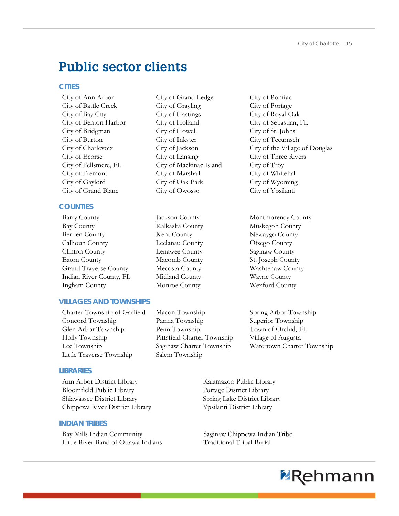City of Charlotte | 15

### **Public sector clients**

#### **CITIES**

City of Ann Arbor City of Grand Ledge City of Pontiac

#### **COUNTIES**

Barry County **Francisco County** Jackson County **Montmorency County** Bay County Kalkaska County Muskegon County Berrien County **Kent County** Kent County **Newaygo County** Calhoun County Leelanau County Otsego County Clinton County Lenawee County Saginaw County Eaton County Macomb County St. Joseph County Grand Traverse County Mecosta County Washtenaw County Indian River County, FL Midland County Wayne County Ingham County Monroe County Wexford County

#### **VILLAGES AND TOWNSHIPS**

Concord Township Parma Township Superior Township Glen Arbor Township Penn Township Town of Orchid, FL Holly Township Pittsfield Charter Township Village of Augusta Lee Township Saginaw Charter Township Watertown Charter Township Little Traverse Township Salem Township

#### **LIBRARIES**

Ann Arbor District Library Kalamazoo Public Library Bloomfield Public Library Portage District Library Shiawassee District Library Spring Lake District Library Chippewa River District Library Ypsilanti District Library

#### **INDIAN TRIBES**

Bay Mills Indian Community Saginaw Chippewa Indian Tribe Little River Band of Ottawa Indians Traditional Tribal Burial

- City of Battle Creek City of Grayling City of Portage City of Bay City City of Hastings City of Royal Oak City of Benton Harbor City of Holland City of Sebastian, FL City of Bridgman City of Howell City of St. Johns City of Burton City of Inkster City of Tecumseh City of Ecorse City of Lansing City of Three Rivers City of Fellsmere, FL City of Mackinac Island City of Troy City of Fremont City of Marshall City of Whitehall City of Gaylord City of Oak Park City of Wyoming City of Grand Blanc City of Owosso City of Ypsilanti
	-

Charter Township of Garfield Macon Township Spring Arbor Township

- City of Charlevoix City of Jackson City of the Village of Douglas
	-

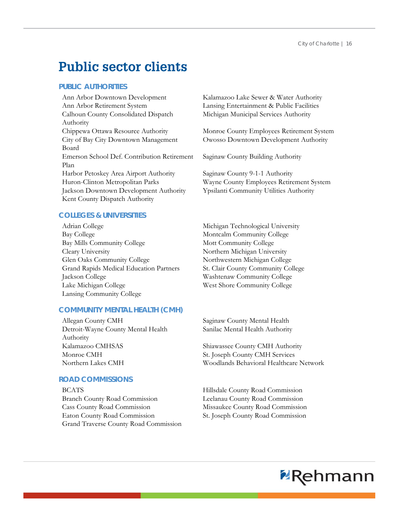### **Public sector clients**

#### **PUBLIC AUTHORITIES**

Ann Arbor Downtown Development Kalamazoo Lake Sewer & Water Authority Ann Arbor Retirement System Lansing Entertainment & Public Facilities Calhoun County Consolidated Dispatch Authority Chippewa Ottawa Resource Authority Monroe County Employees Retirement System City of Bay City Downtown Management Board Emerson School Def. Contribution Retirement Plan Harbor Petoskey Area Airport Authority Saginaw County 9-1-1 Authority Huron-Clinton Metropolitan Parks Wayne County Employees Retirement System Jackson Downtown Development Authority Ypsilanti Community Utilities Authority Kent County Dispatch Authority

#### **COLLEGES & UNIVERSITIES**

Adrian College Michigan Technological University Bay College Montcalm Community College Bay Mills Community College Mott Community College Cleary University Northern Michigan University Glen Oaks Community College Northwestern Michigan College Grand Rapids Medical Education Partners St. Clair County Community College Jackson College Washtenaw Community College Lake Michigan College West Shore Community College Lansing Community College

#### **COMMUNITY MENTAL HEALTH (CMH)**

Detroit-Wayne County Mental Health Authority Kalamazoo CMHSAS Shiawassee County CMH Authority Monroe CMH Services St. Joseph County CMH Services

#### **ROAD COMMISSIONS**

BCATS Hillsdale County Road Commission Branch County Road Commission Leelanau County Road Commission Cass County Road Commission Missaukee County Road Commission Eaton County Road Commission St. Joseph County Road Commission Grand Traverse County Road Commission

Michigan Municipal Services Authority

Owosso Downtown Development Authority

Saginaw County Building Authority

Allegan County CMH Saginaw County Mental Health Sanilac Mental Health Authority

Northern Lakes CMH Woodlands Behavioral Healthcare Network

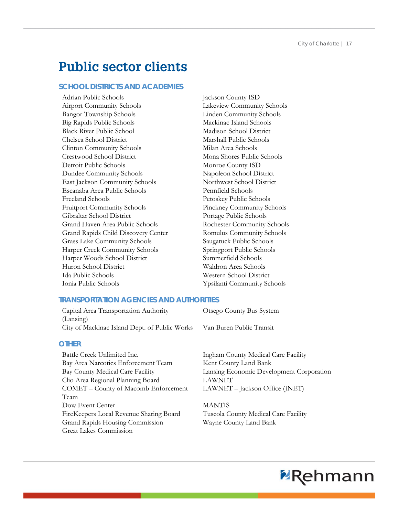City of Charlotte | 17

### **Public sector clients**

#### **SCHOOL DISTRICTS AND ACADEMIES**

Adrian Public Schools Jackson County ISD Airport Community Schools Lakeview Community Schools Bangor Township Schools Linden Community Schools Big Rapids Public Schools Mackinac Island Schools Black River Public School Madison School District Chelsea School District Marshall Public Schools Clinton Community Schools Milan Area Schools Crestwood School District Mona Shores Public Schools Detroit Public Schools Monroe County ISD Dundee Community Schools Napoleon School District East Jackson Community Schools Northwest School District Escanaba Area Public Schools Pennfield Schools Freeland Schools Petoskey Public Schools Fruitport Community Schools Pinckney Community Schools Gibraltar School District Portage Public Schools Grand Haven Area Public Schools Rochester Community Schools Grand Rapids Child Discovery Center Romulus Community Schools Grass Lake Community Schools Saugatuck Public Schools Harper Creek Community Schools Springport Public Schools Harper Woods School District Summerfield Schools Huron School District Waldron Area Schools Ida Public Schools Western School District Ionia Public Schools Ypsilanti Community Schools

Great Lakes Commission

#### **TRANSPORTATION AGENCIES AND AUTHORITIES**

| Capital Area Transportation Authority         | Otsego County Bus System                 |
|-----------------------------------------------|------------------------------------------|
| (Lansing)                                     |                                          |
| City of Mackinac Island Dept. of Public Works | Van Buren Public Transit                 |
|                                               |                                          |
| <b>OTHER</b>                                  |                                          |
| Battle Creek Unlimited Inc.                   | Ingham County Medical Care Facility      |
| Bay Area Narcotics Enforcement Team           | Kent County Land Bank                    |
| Bay County Medical Care Facility              | Lansing Economic Development Corporation |
| Clio Area Regional Planning Board             | LAWNET                                   |
| COMET – County of Macomb Enforcement          | LAWNET – Jackson Office (JNET)           |
| Team                                          |                                          |

Dow Event Center MANTIS FireKeepers Local Revenue Sharing Board Tuscola County Medical Care Facility Grand Rapids Housing Commission Wayne County Land Bank

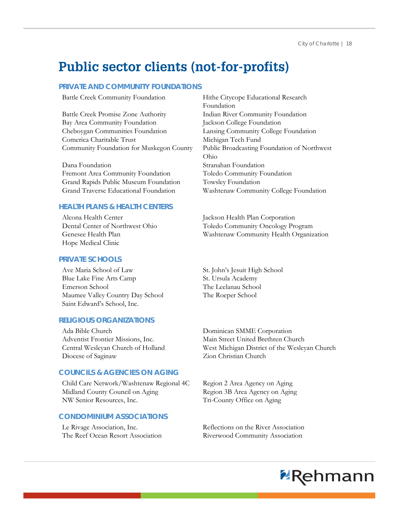### **Public sector clients (not-for-profits)**

#### **PRIVATE AND COMMUNITY FOUNDATIONS**

Battle Creek Community Foundation Hithe Citycope Educational Research

Battle Creek Promise Zone Authority Indian River Community Foundation Bay Area Community Foundation *Jackson College Foundation* Cheboygan Communities Foundation Lansing Community College Foundation Comerica Charitable Trust Michigan Tech Fund Community Foundation for Muskegon County Public Broadcasting Foundation of Northwest

Dana Foundation Stranahan Foundation Fremont Area Community Foundation Toledo Community Foundation Grand Rapids Public Museum Foundation Towsley Foundation Grand Traverse Educational Foundation Washtenaw Community College Foundation

#### **HEALTH PLANS & HEALTH CENTERS**

Alcona Health Center Jackson Health Plan Corporation Hope Medical Clinic

#### **PRIVATE SCHOOLS**

Ave Maria School of Law St. John's Jesuit High School Blue Lake Fine Arts Camp St. Ursula Academy Emerson School The Leelanau School Maumee Valley Country Day School The Roeper School Saint Edward's School, Inc.

#### **RELIGIOUS ORGANIZATIONS**

Ada Bible Church **Dominican** SMME Corporation Diocese of Saginaw Zion Christian Church

#### **COUNCILS & AGENCIES ON AGING**

Child Care Network/Washtenaw Regional 4C Region 2 Area Agency on Aging Midland County Council on Aging Region 3B Area Agency on Aging NW Senior Resources, Inc. Tri-County Office on Aging

#### **CONDOMINIUM ASSOCIATIONS**

The Reef Ocean Resort Association Riverwood Community Association

Foundation Ohio

Dental Center of Northwest Ohio Toledo Community Oncology Program Genesee Health Plan Washtenaw Community Health Organization

Adventist Frontier Missions, Inc. Main Street United Brethren Church Central Wesleyan Church of Holland West Michigan District of the Wesleyan Church

Le Rivage Association, Inc. Reflections on the River Association

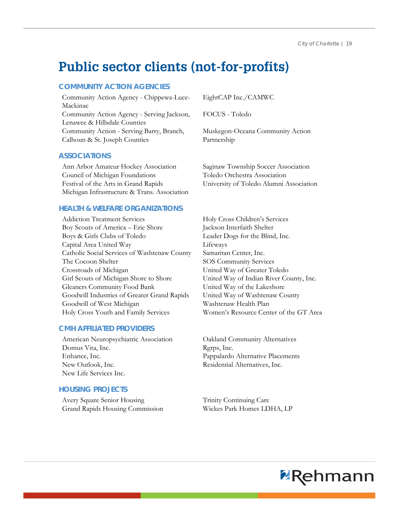### **Public sector clients (not-for-profits)**

#### **COMMUNITY ACTION AGENCIES**

Community Action Agency - Chippewa-Luce-Mackinac Community Action Agency - Serving Jackson, Lenawee & Hillsdale Counties Community Action - Serving Barry, Branch, Calhoun & St. Joseph Counties

#### **ASSOCIATIONS**

Ann Arbor Amateur Hockey Association Saginaw Township Soccer Association Council of Michigan Foundations Toledo Orchestra Association Festival of the Arts in Grand Rapids University of Toledo Alumni Association Michigan Infrastructure & Trans. Association

#### **HEALTH & WELFARE ORGANIZATIONS**

Addiction Treatment Services Holy Cross Children's Services Boy Scouts of America – Erie Shore Jackson Interfaith Shelter Boys & Girls Clubs of Toledo Leader Dogs for the Blind, Inc. Capital Area United Way Lifeways Catholic Social Services of Washtenaw County Samaritan Center, Inc. The Cocoon Shelter SOS Community Services Crossroads of Michigan United Way of Greater Toledo Girl Scouts of Michigan Shore to Shore United Way of Indian River County, Inc. Gleaners Community Food Bank United Way of the Lakeshore Goodwill Industries of Greater Grand Rapids United Way of Washtenaw County Goodwill of West Michigan Washtenaw Health Plan Holy Cross Youth and Family Services Women's Resource Center of the GT Area

#### **CMH AFFILIATED PROVIDERS**

American Neuropsychiatric Association Oakland Community Alternatives Domus Vita, Inc. Rgrps, Inc. Enhance, Inc. Pappalardo Alternative Placements New Outlook, Inc. Residential Alternatives, Inc. New Life Services Inc.

#### **HOUSING PROJECTS**

Avery Square Senior Housing Trinity Continuing Care Grand Rapids Housing Commission Wickes Park Homes LDHA, LP

EightCAP Inc./CAMWC

FOCUS - Toledo

Muskegon-Oceana Community Action Partnership

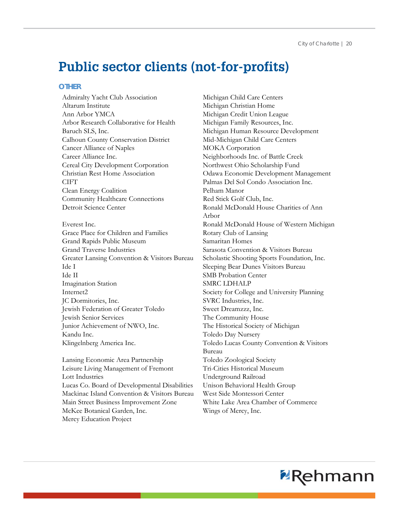City of Charlotte | 20

### **Public sector clients (not-for-profits)**

#### **OTHER**

Admiralty Yacht Club Association Michigan Child Care Centers Altarum Institute Michigan Christian Home Ann Arbor YMCA Michigan Credit Union League Arbor Research Collaborative for Health Michigan Family Resources, Inc. Calhoun County Conservation District Mid-Michigan Child Care Centers Cancer Alliance of Naples MOKA Corporation Career Alliance Inc. Neighborhoods Inc. of Battle Creek Cereal City Development Corporation Northwest Ohio Scholarship Fund CIFT Palmas Del Sol Condo Association Inc. Clean Energy Coalition Pelham Manor Community Healthcare Connections Red Stick Golf Club, Inc.

Grace Place for Children and Families Rotary Club of Lansing Grand Rapids Public Museum Samaritan Homes Grand Traverse Industries Sarasota Convention & Visitors Bureau Greater Lansing Convention & Visitors Bureau Scholastic Shooting Sports Foundation, Inc. Ide I Sleeping Bear Dunes Visitors Bureau Ide II SMB Probation Center Imagination Station SMRC LDHALP Internet2 Society for College and University Planning JC Dormitories, Inc. SVRC Industries, Inc. Jewish Federation of Greater Toledo Sweet Dreamzzz, Inc. Jewish Senior Services The Community House Junior Achievement of NWO, Inc. The Historical Society of Michigan Kandu Inc. Toledo Day Nursery Klingelnberg America Inc. Toledo Lucas County Convention & Visitors

Lansing Economic Area Partnership Toledo Zoological Society Leisure Living Management of Fremont Tri-Cities Historical Museum Lott Industries Underground Railroad Lucas Co. Board of Developmental Disabilities Unison Behavioral Health Group Mackinac Island Convention & Visitors Bureau West Side Montessori Center Main Street Business Improvement Zone White Lake Area Chamber of Commerce McKee Botanical Garden, Inc. Wings of Mercy, Inc. Mercy Education Project

Baruch SLS, Inc. Michigan Human Resource Development Christian Rest Home Association Odawa Economic Development Management Detroit Science Center Ronald McDonald House Charities of Ann Arbor Everest Inc. Ronald McDonald House of Western Michigan Bureau

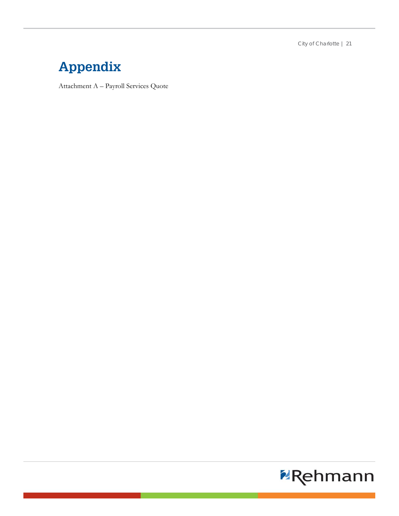City of Charlotte | 21

## **Appendix**

Attachment A – Payroll Services Quote

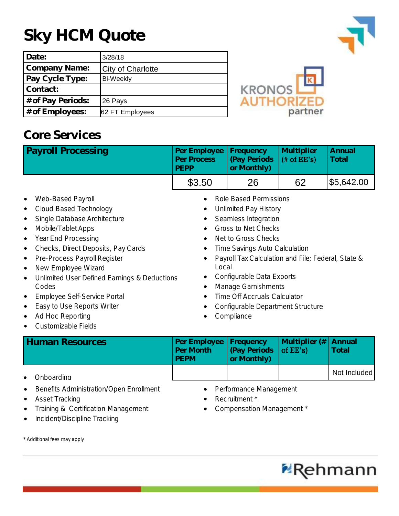# **Sky HCM Quote**

| Date:             | 3/28/18                  |
|-------------------|--------------------------|
| Company Name:     | <b>City of Charlotte</b> |
| Pay Cycle Type:   | <b>Bi-Weekly</b>         |
| Contact:          |                          |
| # of Pay Periods: | 26 Pays                  |
| # of Employees:   | 62 FT Employees          |



## **Core Services**

| <b>Payroll Processing</b>                                                                                                                                                                                                                                                                                                                                                                                                                                                                   | Per Employee<br>Per Process<br><b>PEPP</b>                                                                                                                                                                                                                                                                                                                                              | Frequency<br>(Pay Periods<br>or Monthly)                             | Multiplier<br>$#$ of $EE's$ ) | Annual<br>Total |
|---------------------------------------------------------------------------------------------------------------------------------------------------------------------------------------------------------------------------------------------------------------------------------------------------------------------------------------------------------------------------------------------------------------------------------------------------------------------------------------------|-----------------------------------------------------------------------------------------------------------------------------------------------------------------------------------------------------------------------------------------------------------------------------------------------------------------------------------------------------------------------------------------|----------------------------------------------------------------------|-------------------------------|-----------------|
|                                                                                                                                                                                                                                                                                                                                                                                                                                                                                             | \$3.50                                                                                                                                                                                                                                                                                                                                                                                  | 26                                                                   | 62                            | \$5,642.00      |
| Web-Based Payroll<br>٠<br>Cloud Based Technology<br>$\bullet$<br>Single Database Architecture<br>٠<br>Mobile/Tablet Apps<br>$\bullet$<br>Year End Processing<br>$\bullet$<br>Checks, Direct Deposits, Pay Cards<br>٠<br>Pre-Process Payroll Register<br>٠<br>New Employee Wizard<br>$\bullet$<br>Unlimited User Defined Earnings & Deductions<br>$\bullet$<br>Codes<br>Employee Self-Service Portal<br>٠<br>Easy to Use Reports Writer<br>٠<br>Ad Hoc Reporting<br>٠<br>Customizable Fields | <b>Role Based Permissions</b><br>٠<br>Unlimited Pay History<br>Seamless Integration<br>Gross to Net Checks<br>Net to Gross Checks<br>Time Savings Auto Calculation<br>٠<br>Payroll Tax Calculation and File; Federal, State &<br>٠<br>Local<br>Configurable Data Exports<br>Manage Garnishments<br>٠<br>Time Off Accruals Calculator<br>Configurable Department Structure<br>Compliance |                                                                      |                               |                 |
| <b>Human Resources</b>                                                                                                                                                                                                                                                                                                                                                                                                                                                                      | Per Employee<br>Per Month<br><b>PEPM</b>                                                                                                                                                                                                                                                                                                                                                | Frequency<br>(Pay Periods<br>or Monthly)                             | Multiplier (#<br>of EE's)     | Annual<br>Total |
| Onboarding<br>٠                                                                                                                                                                                                                                                                                                                                                                                                                                                                             |                                                                                                                                                                                                                                                                                                                                                                                         |                                                                      |                               | Not Included    |
| Benefits Administration/Open Enrollment<br>٠<br><b>Asset Tracking</b><br>$\bullet$<br>Training & Certification Management<br>$\bullet$<br>Incident/Discipline Tracking<br>٠                                                                                                                                                                                                                                                                                                                 |                                                                                                                                                                                                                                                                                                                                                                                         | Performance Management<br>Recruitment *<br>Compensation Management * |                               |                 |

\* Additional fees may apply

Rehmann

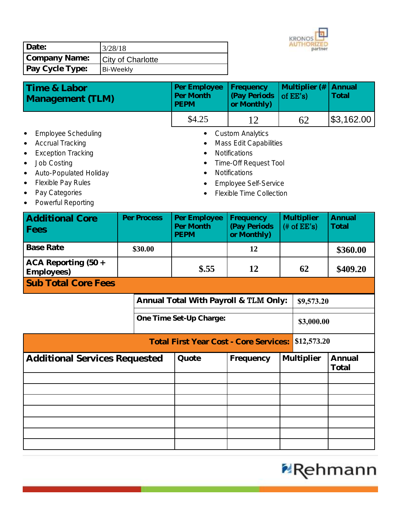

| Date:           | 3/28/18                  |
|-----------------|--------------------------|
| Company Name:   | <b>City of Charlotte</b> |
| Pay Cycle Type: | <b>Bi-Weekly</b>         |

| Time & Labor<br>Management (TLM) | Per Employee   Frequency   Multiplier (#   Annual<br>Per Month<br><b>PEPM</b> | $ $ (Pay Periods $ $ of EE's)<br>or Monthly) |    | Total                 |
|----------------------------------|-------------------------------------------------------------------------------|----------------------------------------------|----|-----------------------|
|                                  | \$4.25                                                                        |                                              | 62 | $\frac{1}{3}3,162.00$ |

- Employee Scheduling  $\bullet$
- Accrual Tracking
- Exception Tracking
- Job Costing
- Auto-Populated Holiday ٠
- Flexible Pay Rules
- Pay Categories
- Powerful Reporting
- Custom Analytics
- Mass Edit Capabilities
- Notifications
- Time-Off Request Tool
- Notifications
- Employee Self-Service
- Flexible Time Collection

| <b>Additional Core</b><br>Fees<br><b>Base Rate</b><br>ACA Reporting (50 $+$ | Per Process<br>\$30.00 | Per Employee<br>Per Month<br><b>PEPM</b>      | Frequency<br>(Pay Periods<br>or Monthly)<br>12 | Multiplier<br>$#$ of $EE's$ ) | Annual<br>Total<br>\$360.00 |
|-----------------------------------------------------------------------------|------------------------|-----------------------------------------------|------------------------------------------------|-------------------------------|-----------------------------|
| Employees)                                                                  |                        | \$.55                                         | 12                                             | 62                            | \$409.20                    |
| <b>Sub Total Core Fees</b>                                                  |                        |                                               |                                                |                               |                             |
|                                                                             |                        | Annual Total With Payroll & TLM Only:         |                                                | \$9,573.20                    |                             |
| One Time Set-Up Charge:<br>\$3,000.00                                       |                        |                                               |                                                |                               |                             |
|                                                                             |                        | <b>Total First Year Cost - Core Services:</b> |                                                | \$12,573.20                   |                             |
| Additional Services Requested                                               |                        | Quote                                         | Frequency                                      | Multiplier                    | Annual<br>Total             |
|                                                                             |                        |                                               |                                                |                               |                             |
|                                                                             |                        |                                               |                                                |                               |                             |
|                                                                             |                        |                                               |                                                |                               |                             |
|                                                                             |                        |                                               |                                                |                               |                             |
|                                                                             |                        |                                               |                                                |                               |                             |

# Rehmann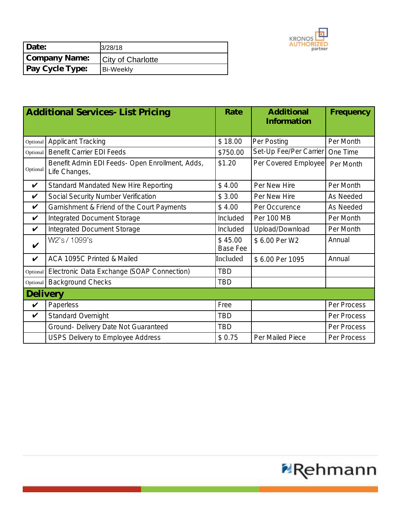

| Date:           | 3/28/18                  |
|-----------------|--------------------------|
| Company Name:   | <b>City of Charlotte</b> |
| Pay Cycle Type: | <b>Bi-Weekly</b>         |

| Additional Services-List Pricing |                                                                  | Rate                       | Additional<br>Information | Frequency   |  |
|----------------------------------|------------------------------------------------------------------|----------------------------|---------------------------|-------------|--|
| Optional                         | Applicant Tracking                                               | \$18.00                    | Per Posting               | Per Month   |  |
| Optional                         | <b>Benefit Carrier EDI Feeds</b>                                 | \$750.00                   | Set-Up Fee/Per Carrier    | One Time    |  |
| Optional                         | Benefit Admin EDI Feeds- Open Enrollment, Adds,<br>Life Changes, | \$1.20                     | Per Covered Employee      | Per Month   |  |
| $\checkmark$                     | Standard Mandated New Hire Reporting                             | \$4.00                     | Per New Hire              | Per Month   |  |
| $\checkmark$                     | Social Security Number Verification                              | \$3.00                     | Per New Hire              | As Needed   |  |
| $\checkmark$                     | Garnishment & Friend of the Court Payments                       | \$4.00                     | Per Occurence             | As Needed   |  |
| $\checkmark$                     | Integrated Document Storage                                      | Included                   | Per 100 MB                | Per Month   |  |
| V                                | Integrated Document Storage                                      | Included                   | Upload/Download           | Per Month   |  |
| $\boldsymbol{\nu}$               | W2's / 1099's                                                    | \$45.00<br><b>Base Fee</b> | \$6.00 Per W2             | Annual      |  |
| $\boldsymbol{\nu}$               | ACA 1095C Printed & Mailed                                       | Included                   | \$6.00 Per 1095           | Annual      |  |
| Optional                         | Electronic Data Exchange (SOAP Connection)                       | <b>TBD</b>                 |                           |             |  |
| Optional                         | <b>Background Checks</b>                                         | <b>TBD</b>                 |                           |             |  |
| Delivery                         |                                                                  |                            |                           |             |  |
| $\checkmark$                     | Paperless                                                        | Free                       |                           | Per Process |  |
| V                                | Standard Overnight                                               | TBD                        |                           | Per Process |  |
|                                  | Ground- Delivery Date Not Guaranteed                             | <b>TBD</b>                 |                           | Per Process |  |
|                                  | USPS Delivery to Employee Address                                | \$0.75                     | Per Mailed Piece          | Per Process |  |